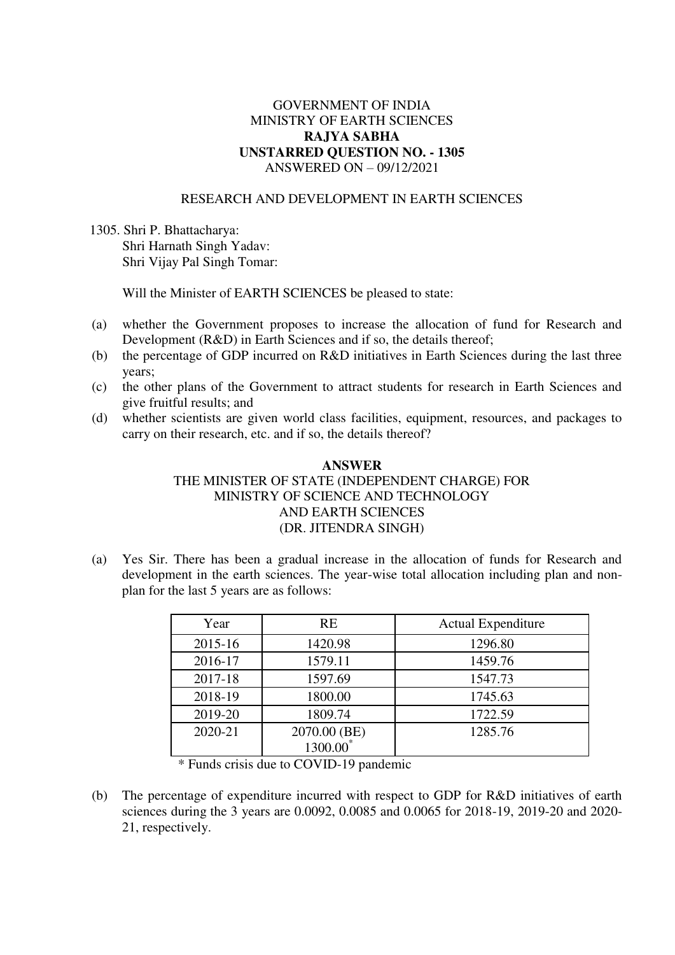## GOVERNMENT OF INDIA MINISTRY OF EARTH SCIENCES **RAJYA SABHA UNSTARRED QUESTION NO. - 1305**  ANSWERED ON – 09/12/2021

## RESEARCH AND DEVELOPMENT IN EARTH SCIENCES

1305. Shri P. Bhattacharya: Shri Harnath Singh Yadav: Shri Vijay Pal Singh Tomar:

Will the Minister of EARTH SCIENCES be pleased to state:

- (a) whether the Government proposes to increase the allocation of fund for Research and Development (R&D) in Earth Sciences and if so, the details thereof;
- (b) the percentage of GDP incurred on R&D initiatives in Earth Sciences during the last three years;
- (c) the other plans of the Government to attract students for research in Earth Sciences and give fruitful results; and
- (d) whether scientists are given world class facilities, equipment, resources, and packages to carry on their research, etc. and if so, the details thereof?

## **ANSWER**  THE MINISTER OF STATE (INDEPENDENT CHARGE) FOR MINISTRY OF SCIENCE AND TECHNOLOGY AND EARTH SCIENCES (DR. JITENDRA SINGH)

(a) Yes Sir. There has been a gradual increase in the allocation of funds for Research and development in the earth sciences. The year-wise total allocation including plan and nonplan for the last 5 years are as follows:

| Year    | <b>RE</b>            | <b>Actual Expenditure</b> |
|---------|----------------------|---------------------------|
| 2015-16 | 1420.98              | 1296.80                   |
| 2016-17 | 1579.11              | 1459.76                   |
| 2017-18 | 1597.69              | 1547.73                   |
| 2018-19 | 1800.00              | 1745.63                   |
| 2019-20 | 1809.74              | 1722.59                   |
| 2020-21 | 2070.00 (BE)         | 1285.76                   |
|         | 1300.00 <sup>*</sup> |                           |

\* Funds crisis due to COVID-19 pandemic

(b) The percentage of expenditure incurred with respect to GDP for R&D initiatives of earth sciences during the 3 years are 0.0092, 0.0085 and 0.0065 for 2018-19, 2019-20 and 2020- 21, respectively.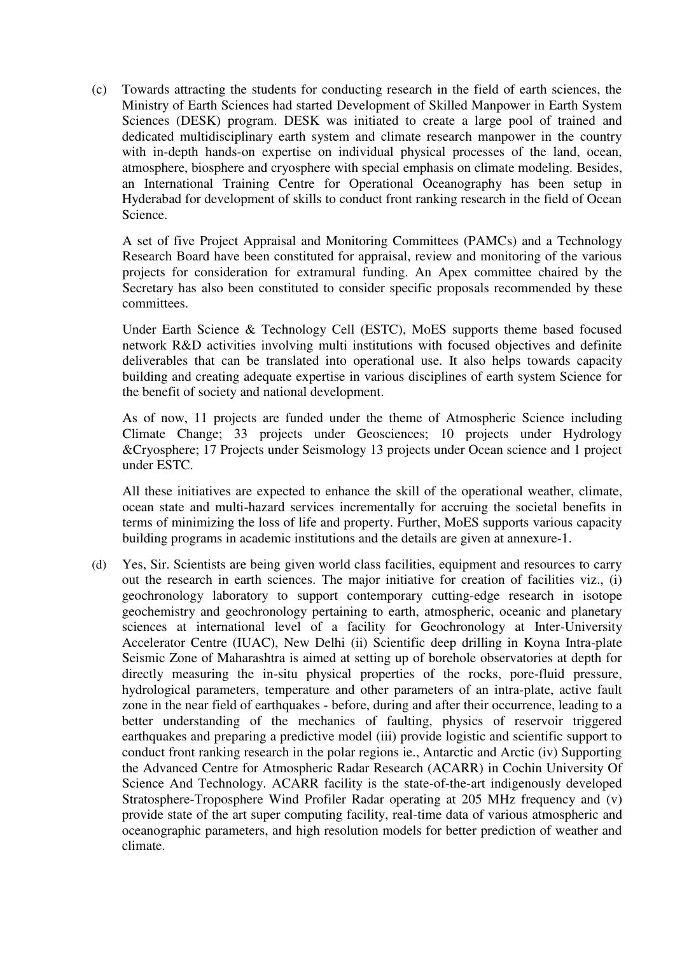(c) Towards attracting the students for conducting research in the field of earth sciences, the Ministry of Earth Sciences had started Development of Skilled Manpower in Earth System Sciences (DESK) program. DESK was initiated to create a large pool of trained and dedicated multidisciplinary earth system and climate research manpower in the country with in-depth hands-on expertise on individual physical processes of the land, ocean, atmosphere, biosphere and cryosphere with special emphasis on climate modeling. Besides, an International Training Centre for Operational Oceanography has been setup in Hyderabad for development of skills to conduct front ranking research in the field of Ocean Science.

A set of five Project Appraisal and Monitoring Committees (PAMCs) and a Technology Research Board have been constituted for appraisal, review and monitoring of the various projects for consideration for extramural funding. An Apex committee chaired by the Secretary has also been constituted to consider specific proposals recommended by these committees.

Under Earth Science & Technology Cell (ESTC), MoES supports theme based focused network R&D activities involving multi institutions with focused objectives and definite deliverables that can be translated into operational use. It also helps towards capacity building and creating adequate expertise in various disciplines of earth system Science for the benefit of society and national development.

As of now, 11 projects are funded under the theme of Atmospheric Science including Climate Change; 33 projects under Geosciences; 10 projects under Hydrology &Cryosphere; 17 Projects under Seismology 13 projects under Ocean science and 1 project under ESTC.

All these initiatives are expected to enhance the skill of the operational weather, climate, ocean state and multi-hazard services incrementally for accruing the societal benefits in terms of minimizing the loss of life and property. Further, MoES supports various capacity building programs in academic institutions and the details are given at annexure-1.

(d) Yes, Sir. Scientists are being given world class facilities, equipment and resources to carry out the research in earth sciences. The major initiative for creation of facilities viz., (i) geochronology laboratory to support contemporary cutting-edge research in isotope geochemistry and geochronology pertaining to earth, atmospheric, oceanic and planetary sciences at international level of a facility for Geochronology at Inter-University Accelerator Centre (IUAC), New Delhi (ii) Scientific deep drilling in Koyna Intra-plate Seismic Zone of Maharashtra is aimed at setting up of borehole observatories at depth for directly measuring the in-situ physical properties of the rocks, pore-fluid pressure, hydrological parameters, temperature and other parameters of an intra-plate, active fault zone in the near field of earthquakes - before, during and after their occurrence, leading to a better understanding of the mechanics of faulting, physics of reservoir triggered earthquakes and preparing a predictive model (iii) provide logistic and scientific support to conduct front ranking research in the polar regions ie., Antarctic and Arctic (iv) Supporting the Advanced Centre for Atmospheric Radar Research (ACARR) in Cochin University Of Science And Technology. ACARR facility is the state-of-the-art indigenously developed Stratosphere-Troposphere Wind Profiler Radar operating at 205 MHz frequency and (v) provide state of the art super computing facility, real-time data of various atmospheric and oceanographic parameters, and high resolution models for better prediction of weather and climate.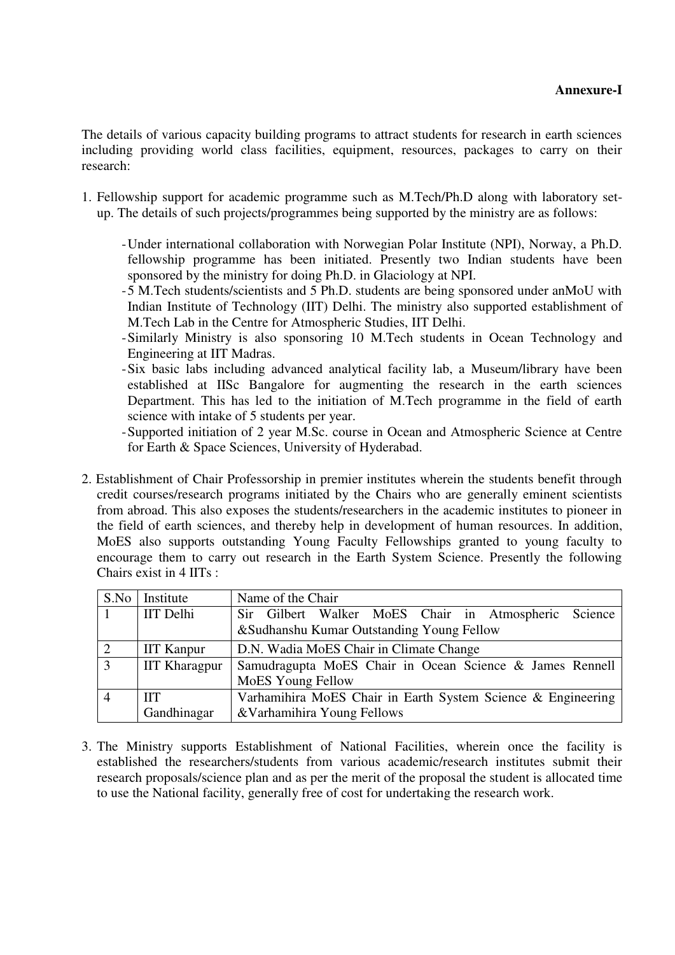The details of various capacity building programs to attract students for research in earth sciences including providing world class facilities, equipment, resources, packages to carry on their research:

- 1. Fellowship support for academic programme such as M.Tech/Ph.D along with laboratory setup. The details of such projects/programmes being supported by the ministry are as follows:
	- Under international collaboration with Norwegian Polar Institute (NPI), Norway, a Ph.D. fellowship programme has been initiated. Presently two Indian students have been sponsored by the ministry for doing Ph.D. in Glaciology at NPI.
	- 5 M.Tech students/scientists and 5 Ph.D. students are being sponsored under anMoU with Indian Institute of Technology (IIT) Delhi. The ministry also supported establishment of M.Tech Lab in the Centre for Atmospheric Studies, IIT Delhi.
	- Similarly Ministry is also sponsoring 10 M.Tech students in Ocean Technology and Engineering at IIT Madras.
	- Six basic labs including advanced analytical facility lab, a Museum/library have been established at IISc Bangalore for augmenting the research in the earth sciences Department. This has led to the initiation of M.Tech programme in the field of earth science with intake of 5 students per year.
	- Supported initiation of 2 year M.Sc. course in Ocean and Atmospheric Science at Centre for Earth & Space Sciences, University of Hyderabad.
- 2. Establishment of Chair Professorship in premier institutes wherein the students benefit through credit courses/research programs initiated by the Chairs who are generally eminent scientists from abroad. This also exposes the students/researchers in the academic institutes to pioneer in the field of earth sciences, and thereby help in development of human resources. In addition, MoES also supports outstanding Young Faculty Fellowships granted to young faculty to encourage them to carry out research in the Earth System Science. Presently the following Chairs exist in 4 IITs :

| S.No           | Institute            | Name of the Chair                                            |  |  |
|----------------|----------------------|--------------------------------------------------------------|--|--|
|                | <b>IIT</b> Delhi     | Sir Gilbert Walker MoES Chair in Atmospheric Science         |  |  |
|                |                      | &Sudhanshu Kumar Outstanding Young Fellow                    |  |  |
| 2              | <b>IIT Kanpur</b>    | D.N. Wadia MoES Chair in Climate Change                      |  |  |
| $\overline{3}$ | <b>IIT Kharagpur</b> | Samudragupta MoES Chair in Ocean Science & James Rennell     |  |  |
|                |                      | <b>MoES</b> Young Fellow                                     |  |  |
| $\overline{4}$ | <b>IIT</b>           | Varhamihira MoES Chair in Earth System Science & Engineering |  |  |
|                | Gandhinagar          | & Varhamihira Young Fellows                                  |  |  |

3. The Ministry supports Establishment of National Facilities, wherein once the facility is established the researchers/students from various academic/research institutes submit their research proposals/science plan and as per the merit of the proposal the student is allocated time to use the National facility, generally free of cost for undertaking the research work.